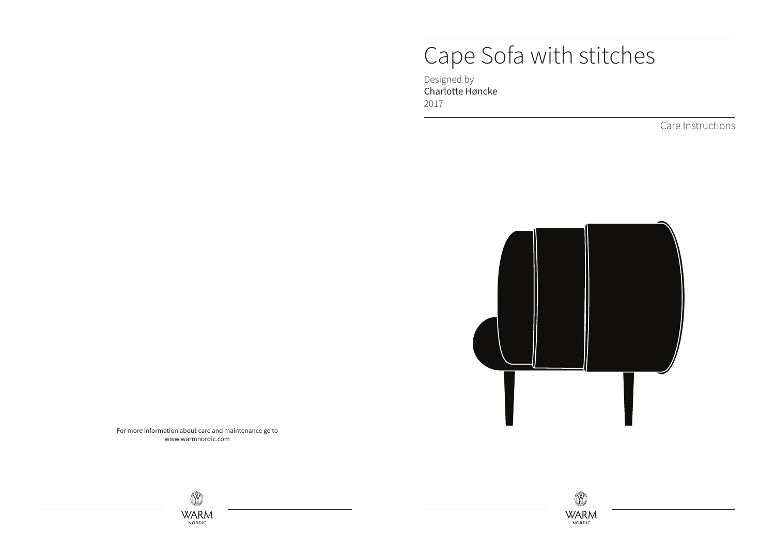## Cape Sofa with stitches

Designed by Charlotte Høncke 2017

Care Instructions



For more information about care and maintenance go to www.warmnordic.com

 $\overline{X}$ **WARM** NORDIC